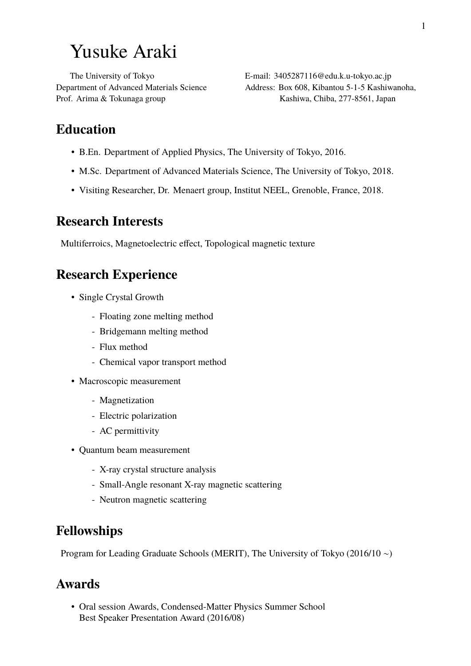# Yusuke Araki

The University of Tokyo Department of Advanced Materials Science Prof. Arima & Tokunaga group

E-mail: 3405287116@edu.k.u-tokyo.ac.jp Address: Box 608, Kibantou 5-1-5 Kashiwanoha, Kashiwa, Chiba, 277-8561, Japan

# **Education**

- B.En. Department of Applied Physics, The University of Tokyo, 2016.
- M.Sc. Department of Advanced Materials Science, The University of Tokyo, 2018.
- Visiting Researcher, Dr. Menaert group, Institut NEEL, Grenoble, France, 2018.

## **Research Interests**

Multiferroics, Magnetoelectric effect, Topological magnetic texture

# **Research Experience**

- Single Crystal Growth
	- Floating zone melting method
	- Bridgemann melting method
	- Flux method
	- Chemical vapor transport method
- Macroscopic measurement
	- Magnetization
	- Electric polarization
	- AC permittivity
- Quantum beam measurement
	- X-ray crystal structure analysis
	- Small-Angle resonant X-ray magnetic scattering
	- Neutron magnetic scattering

# **Fellowships**

Program for Leading Graduate Schools (MERIT), The University of Tokyo (2016/10 ∼)

# **Awards**

• Oral session Awards, Condensed-Matter Physics Summer School Best Speaker Presentation Award (2016/08)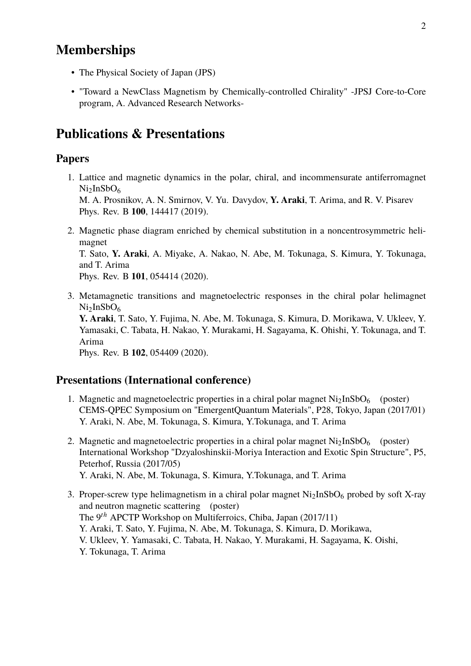## **Memberships**

- The Physical Society of Japan (JPS)
- "Toward a NewClass Magnetism by Chemically-controlled Chirality" -JPSJ Core-to-Core program, A. Advanced Research Networks-

## **Publications & Presentations**

#### **Papers**

1. Lattice and magnetic dynamics in the polar, chiral, and incommensurate antiferromagnet  $Ni<sub>2</sub>InSbO<sub>6</sub>$ 

M. A. Prosnikov, A. N. Smirnov, V. Yu. Davydov, **Y. Araki**, T. Arima, and R. V. Pisarev Phys. Rev. B **100**, 144417 (2019).

- 2. Magnetic phase diagram enriched by chemical substitution in a noncentrosymmetric helimagnet T. Sato, **Y. Araki**, A. Miyake, A. Nakao, N. Abe, M. Tokunaga, S. Kimura, Y. Tokunaga, and T. Arima Phys. Rev. B **101**, 054414 (2020).
- 3. Metamagnetic transitions and magnetoelectric responses in the chiral polar helimagnet  $Ni<sub>2</sub>InSbO<sub>6</sub>$ **Y. Araki**, T. Sato, Y. Fujima, N. Abe, M. Tokunaga, S. Kimura, D. Morikawa, V. Ukleev, Y.

Yamasaki, C. Tabata, H. Nakao, Y. Murakami, H. Sagayama, K. Ohishi, Y. Tokunaga, and T. Arima

Phys. Rev. B **102**, 054409 (2020).

#### **Presentations (International conference)**

- 1. Magnetic and magnetoelectric properties in a chiral polar magnet  $Ni<sub>2</sub> InSbO<sub>6</sub>$  (poster) CEMS-QPEC Symposium on "EmergentQuantum Materials", P28, Tokyo, Japan (2017/01) Y. Araki, N. Abe, M. Tokunaga, S. Kimura, Y.Tokunaga, and T. Arima
- 2. Magnetic and magnetoelectric properties in a chiral polar magnet  $\text{Ni}_2\text{InSbO}_6$  (poster) International Workshop "Dzyaloshinskii-Moriya Interaction and Exotic Spin Structure", P5, Peterhof, Russia (2017/05) Y. Araki, N. Abe, M. Tokunaga, S. Kimura, Y.Tokunaga, and T. Arima
- 3. Proper-screw type helimagnetism in a chiral polar magnet  $Ni<sub>2</sub>InSbO<sub>6</sub>$  probed by soft X-ray and neutron magnetic scattering (poster) The 9<sup>th</sup> APCTP Workshop on Multiferroics, Chiba, Japan (2017/11) Y. Araki, T. Sato, Y. Fujima, N. Abe, M. Tokunaga, S. Kimura, D. Morikawa, V. Ukleev, Y. Yamasaki, C. Tabata, H. Nakao, Y. Murakami, H. Sagayama, K. Oishi, Y. Tokunaga, T. Arima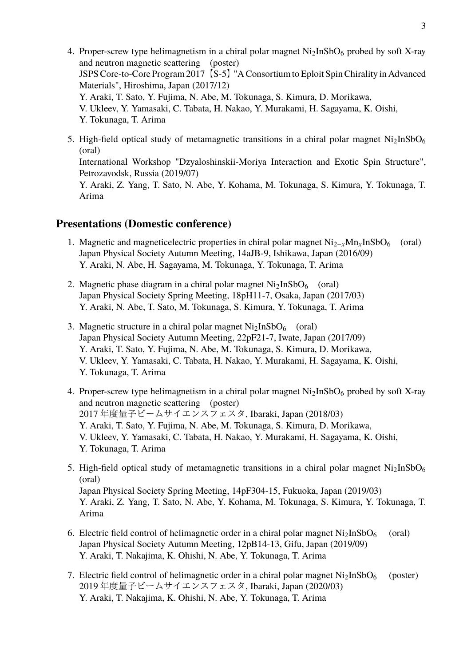- 4. Proper-screw type helimagnetism in a chiral polar magnet  $Ni<sub>2</sub>InSbO<sub>6</sub>$  probed by soft X-ray and neutron magnetic scattering (poster) JSPS Core-to-Core Program 2017【S-5】"A Consortium to Eploit Spin Chirality in Advanced Materials", Hiroshima, Japan (2017/12) Y. Araki, T. Sato, Y. Fujima, N. Abe, M. Tokunaga, S. Kimura, D. Morikawa, V. Ukleev, Y. Yamasaki, C. Tabata, H. Nakao, Y. Murakami, H. Sagayama, K. Oishi, Y. Tokunaga, T. Arima
- 5. High-field optical study of metamagnetic transitions in a chiral polar magnet  $Ni<sub>2</sub>InSbO<sub>6</sub>$ (oral) International Workshop "Dzyaloshinskii-Moriya Interaction and Exotic Spin Structure", Petrozavodsk, Russia (2019/07) Y. Araki, Z. Yang, T. Sato, N. Abe, Y. Kohama, M. Tokunaga, S. Kimura, Y. Tokunaga, T. Arima

#### **Presentations (Domestic conference)**

- 1. Magnetic and magneticelectric properties in chiral polar magnet  $Ni_{2-x}Mn_xInSbO_6$  (oral) Japan Physical Society Autumn Meeting, 14aJB-9, Ishikawa, Japan (2016/09) Y. Araki, N. Abe, H. Sagayama, M. Tokunaga, Y. Tokunaga, T. Arima
- 2. Magnetic phase diagram in a chiral polar magnet  $Ni<sub>2</sub> InSbO<sub>6</sub>$  (oral) Japan Physical Society Spring Meeting, 18pH11-7, Osaka, Japan (2017/03) Y. Araki, N. Abe, T. Sato, M. Tokunaga, S. Kimura, Y. Tokunaga, T. Arima
- 3. Magnetic structure in a chiral polar magnet  $Ni<sub>2</sub>InSbO<sub>6</sub>$  (oral) Japan Physical Society Autumn Meeting, 22pF21-7, Iwate, Japan (2017/09) Y. Araki, T. Sato, Y. Fujima, N. Abe, M. Tokunaga, S. Kimura, D. Morikawa, V. Ukleev, Y. Yamasaki, C. Tabata, H. Nakao, Y. Murakami, H. Sagayama, K. Oishi, Y. Tokunaga, T. Arima
- 4. Proper-screw type helimagnetism in a chiral polar magnet  $Ni<sub>2</sub>InSbO<sub>6</sub>$  probed by soft X-ray and neutron magnetic scattering (poster) 2017 年度量子ビームサイエンスフェスタ, Ibaraki, Japan (2018/03) Y. Araki, T. Sato, Y. Fujima, N. Abe, M. Tokunaga, S. Kimura, D. Morikawa, V. Ukleev, Y. Yamasaki, C. Tabata, H. Nakao, Y. Murakami, H. Sagayama, K. Oishi, Y. Tokunaga, T. Arima
- 5. High-field optical study of metamagnetic transitions in a chiral polar magnet  $Ni<sub>2</sub>InSbO<sub>6</sub>$ (oral) Japan Physical Society Spring Meeting, 14pF304-15, Fukuoka, Japan (2019/03) Y. Araki, Z. Yang, T. Sato, N. Abe, Y. Kohama, M. Tokunaga, S. Kimura, Y. Tokunaga, T. Arima
- 6. Electric field control of helimagnetic order in a chiral polar magnet  $\text{Ni}_2\text{InSbO}_6$  (oral) Japan Physical Society Autumn Meeting, 12pB14-13, Gifu, Japan (2019/09) Y. Araki, T. Nakajima, K. Ohishi, N. Abe, Y. Tokunaga, T. Arima
- 7. Electric field control of helimagnetic order in a chiral polar magnet  $\text{Ni}_2\text{InSbO}_6$  (poster) 2019 年度量子ビームサイエンスフェスタ, Ibaraki, Japan (2020/03) Y. Araki, T. Nakajima, K. Ohishi, N. Abe, Y. Tokunaga, T. Arima